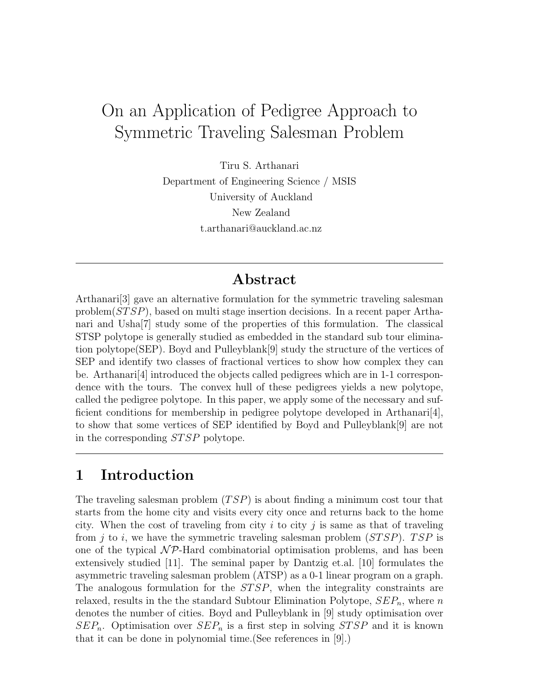# On an Application of Pedigree Approach to Symmetric Traveling Salesman Problem

Tiru S. Arthanari Department of Engineering Science / MSIS University of Auckland New Zealand t.arthanari@auckland.ac.nz

## Abstract

Arthanari[3] gave an alternative formulation for the symmetric traveling salesman problem(STSP), based on multi stage insertion decisions. In a recent paper Arthanari and Usha[7] study some of the properties of this formulation. The classical STSP polytope is generally studied as embedded in the standard sub tour elimination polytope(SEP). Boyd and Pulleyblank[9] study the structure of the vertices of SEP and identify two classes of fractional vertices to show how complex they can be. Arthanari[4] introduced the objects called pedigrees which are in 1-1 correspondence with the tours. The convex hull of these pedigrees yields a new polytope, called the pedigree polytope. In this paper, we apply some of the necessary and sufficient conditions for membership in pedigree polytope developed in Arthanari[4], to show that some vertices of SEP identified by Boyd and Pulleyblank[9] are not in the corresponding STSP polytope.

## 1 Introduction

The traveling salesman problem (TSP) is about finding a minimum cost tour that starts from the home city and visits every city once and returns back to the home city. When the cost of traveling from city  $i$  to city  $j$  is same as that of traveling from j to i, we have the symmetric traveling salesman problem  $(STSP)$ . TSP is one of the typical  $\mathcal{NP}$ -Hard combinatorial optimisation problems, and has been extensively studied [11]. The seminal paper by Dantzig et.al. [10] formulates the asymmetric traveling salesman problem (ATSP) as a 0-1 linear program on a graph. The analogous formulation for the STSP, when the integrality constraints are relaxed, results in the the standard Subtour Elimination Polytope,  $SEP_n$ , where n denotes the number of cities. Boyd and Pulleyblank in [9] study optimisation over  $SEP_n$ . Optimisation over  $SEP_n$  is a first step in solving  $STSP$  and it is known that it can be done in polynomial time.(See references in [9].)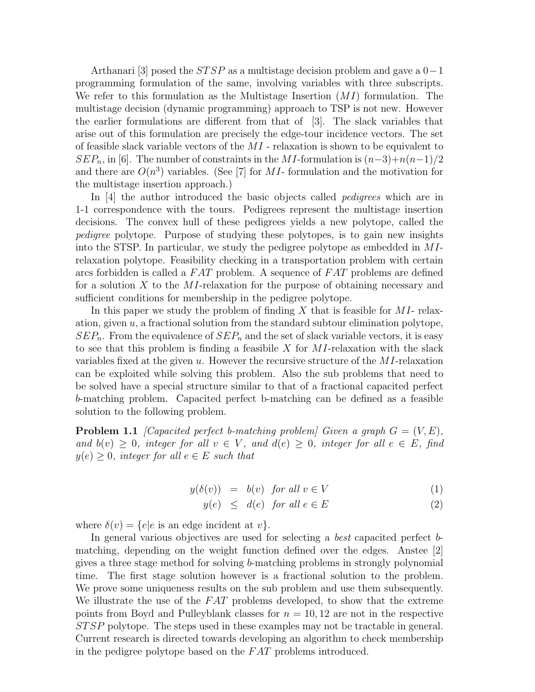Arthanari [3] posed the  $STSP$  as a multistage decision problem and gave a  $0-1$ programming formulation of the same, involving variables with three subscripts. We refer to this formulation as the Multistage Insertion  $(MI)$  formulation. The multistage decision (dynamic programming) approach to TSP is not new. However the earlier formulations are different from that of [3]. The slack variables that arise out of this formulation are precisely the edge-tour incidence vectors. The set of feasible slack variable vectors of the  $MI$  - relaxation is shown to be equivalent to  $SEP_n$ , in [6]. The number of constraints in the MI-formulation is  $(n-3)+n(n-1)/2$ and there are  $O(n^3)$  variables. (See [7] for MI- formulation and the motivation for the multistage insertion approach.)

In [4] the author introduced the basic objects called *pedigrees* which are in 1-1 correspondence with the tours. Pedigrees represent the multistage insertion decisions. The convex hull of these pedigrees yields a new polytope, called the pedigree polytope. Purpose of studying these polytopes, is to gain new insights into the STSP. In particular, we study the pedigree polytope as embedded in MIrelaxation polytope. Feasibility checking in a transportation problem with certain arcs forbidden is called a FAT problem. A sequence of FAT problems are defined for a solution X to the MI-relaxation for the purpose of obtaining necessary and sufficient conditions for membership in the pedigree polytope.

In this paper we study the problem of finding X that is feasible for  $MI$ - relaxation, given  $u$ , a fractional solution from the standard subtour elimination polytope,  $SEP_n$ . From the equivalence of  $SEP_n$  and the set of slack variable vectors, it is easy to see that this problem is finding a feasibile  $X$  for  $MI$ -relaxation with the slack variables fixed at the given u. However the recursive structure of the  $MI$ -relaxation can be exploited while solving this problem. Also the sub problems that need to be solved have a special structure similar to that of a fractional capacited perfect b-matching problem. Capacited perfect b-matching can be defined as a feasible solution to the following problem.

**Problem 1.1** [Capacited perfect b-matching problem] Given a graph  $G = (V, E)$ , and  $b(v) \geq 0$ , integer for all  $v \in V$ , and  $d(e) \geq 0$ , integer for all  $e \in E$ , find  $y(e) \geq 0$ , integer for all  $e \in E$  such that

$$
y(\delta(v)) = b(v) \text{ for all } v \in V
$$
 (1)

$$
y(e) \leq d(e) \text{ for all } e \in E
$$
 (2)

where  $\delta(v) = \{e | e$  is an edge incident at v.

In general various objectives are used for selecting a best capacited perfect bmatching, depending on the weight function defined over the edges. Anstee [2] gives a three stage method for solving b-matching problems in strongly polynomial time. The first stage solution however is a fractional solution to the problem. We prove some uniqueness results on the sub problem and use them subsequently. We illustrate the use of the  $FAT$  problems developed, to show that the extreme points from Boyd and Pulleyblank classes for  $n = 10, 12$  are not in the respective STSP polytope. The steps used in these examples may not be tractable in general. Current research is directed towards developing an algorithm to check membership in the pedigree polytope based on the FAT problems introduced.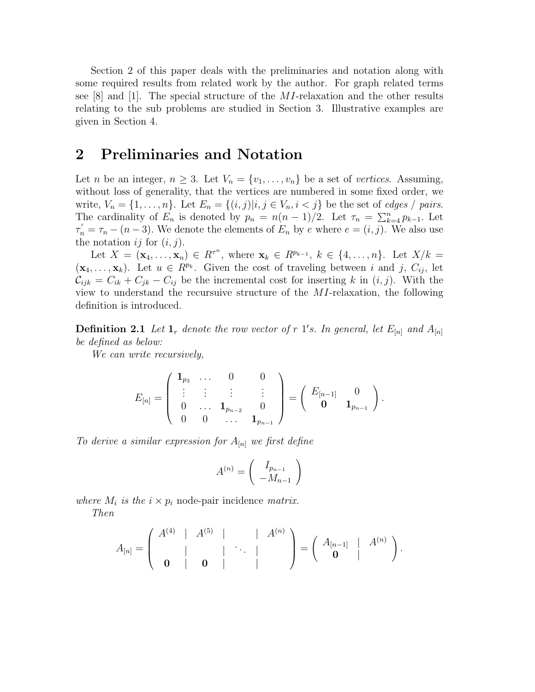Section 2 of this paper deals with the preliminaries and notation along with some required results from related work by the author. For graph related terms see  $[8]$  and  $[1]$ . The special structure of the *MI*-relaxation and the other results relating to the sub problems are studied in Section 3. Illustrative examples are given in Section 4.

## 2 Preliminaries and Notation

Let *n* be an integer,  $n \geq 3$ . Let  $V_n = \{v_1, \ldots, v_n\}$  be a set of vertices. Assuming, without loss of generality, that the vertices are numbered in some fixed order, we write,  $V_n = \{1, \ldots, n\}$ . Let  $E_n = \{(i, j) | i, j \in V_n, i < j\}$  be the set of *edges* / pairs. The cardinality of  $E_n$  is denoted by  $p_n = n(n-1)/2$ . Let  $\tau_n = \sum_{k=4}^n p_{k-1}$ . Let  $\tau'_n = \tau_n - (n-3)$ . We denote the elements of  $E_n$  by e where  $e = (i, j)$ . We also use the notation  $ij$  for  $(i, j)$ .

Let  $X = (\mathbf{x}_4, ..., \mathbf{x}_n) \in R^{\tau^n}$ , where  $\mathbf{x}_k \in R^{p_{k-1}}, k \in \{4, ..., n\}$ . Let  $X/k =$  $(\mathbf{x}_4, \ldots, \mathbf{x}_k)$ . Let  $u \in R^{p_k}$ . Given the cost of traveling between i and j,  $C_{ij}$ , let  $\mathcal{C}_{ijk} = C_{ik} + C_{jk} - C_{ij}$  be the incremental cost for inserting k in  $(i, j)$ . With the view to understand the recursuive structure of the MI-relaxation, the following definition is introduced.

**Definition 2.1** Let  $\mathbf{1}_r$  denote the row vector of r  $1's$ . In general, let  $E_{[n]}$  and  $A_{[n]}$ be defined as below:

We can write recursively,

$$
E_{[n]} = \left( \begin{array}{cccc} \mathbf{1}_{p_3} & \dots & 0 & 0 \\ \vdots & \vdots & \vdots & \vdots \\ 0 & \dots & \mathbf{1}_{p_{n-2}} & 0 \\ 0 & 0 & \dots & \mathbf{1}_{p_{n-1}} \end{array} \right) = \left( \begin{array}{cccc} E_{[n-1]} & 0 \\ \mathbf{0} & \mathbf{1}_{p_{n-1}} \end{array} \right).
$$

To derive a similar expression for  $A_{[n]}$  we first define

$$
A^{(n)} = \left(\begin{array}{c} I_{p_{n-1}} \\ -M_{n-1} \end{array}\right)
$$

where  $M_i$  is the  $i \times p_i$  node-pair incidence matrix.

Then

$$
A_{[n]} = \left(\begin{array}{cccc|c} A^{(4)} & | & A^{(5)} & | & & | & A^{(n)} \\ | & & | & | & \ddots & | \\ \hline \mathbf{0} & | & \mathbf{0} & | & & | \end{array}\right) = \left(\begin{array}{cccc|c} A_{[n-1]} & | & A^{(n)} \\ \hline \mathbf{0} & | & & \end{array}\right).
$$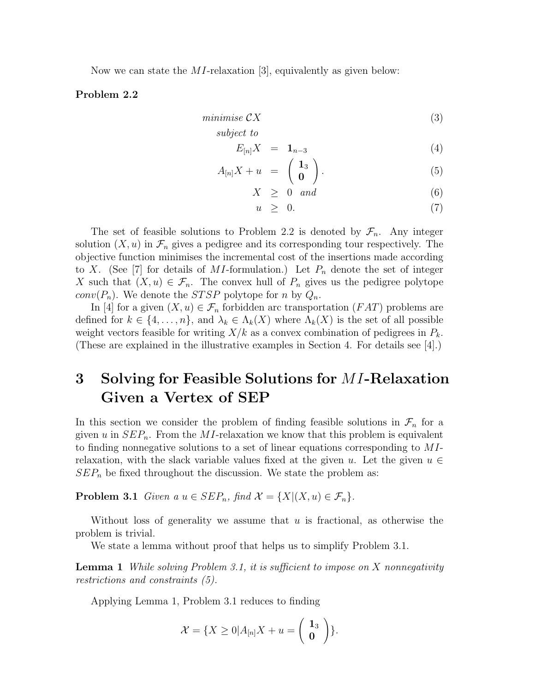Now we can state the MI-relaxation [3], equivalently as given below:

#### Problem 2.2

$$
minimise\;\mathcal{C}X\tag{3}
$$

$$
subject\ to
$$

$$
E_{[n]}X = \mathbf{1}_{n-3} \tag{4}
$$

$$
A_{[n]}X + u = \begin{pmatrix} 1_3 \\ 0 \end{pmatrix}.
$$
 (5)

$$
X \geq 0 \quad and \tag{6}
$$

$$
u \geq 0. \tag{7}
$$

The set of feasible solutions to Problem 2.2 is denoted by  $\mathcal{F}_n$ . Any integer solution  $(X, u)$  in  $\mathcal{F}_n$  gives a pedigree and its corresponding tour respectively. The objective function minimises the incremental cost of the insertions made according to X. (See [7] for details of MI-formulation.) Let  $P_n$  denote the set of integer X such that  $(X, u) \in \mathcal{F}_n$ . The convex hull of  $P_n$  gives us the pedigree polytope *conv* $(P_n)$ . We denote the *STSP* polytope for *n* by  $Q_n$ .

In [4] for a given  $(X, u) \in \mathcal{F}_n$  forbidden arc transportation  $(FAT)$  problems are defined for  $k \in \{4, \ldots, n\}$ , and  $\lambda_k \in \Lambda_k(X)$  where  $\Lambda_k(X)$  is the set of all possible weight vectors feasible for writing  $X/k$  as a convex combination of pedigrees in  $P_k$ . (These are explained in the illustrative examples in Section 4. For details see [4].)

## 3 Solving for Feasible Solutions for MI-Relaxation Given a Vertex of SEP

In this section we consider the problem of finding feasible solutions in  $\mathcal{F}_n$  for a given u in  $SEP_n$ . From the MI-relaxation we know that this problem is equivalent to finding nonnegative solutions to a set of linear equations corresponding to MIrelaxation, with the slack variable values fixed at the given u. Let the given  $u \in$  $SEP<sub>n</sub>$  be fixed throughout the discussion. We state the problem as:

**Problem 3.1** Given a  $u \in SEP_n$ , find  $\mathcal{X} = \{X | (X, u) \in \mathcal{F}_n\}.$ 

Without loss of generality we assume that  $u$  is fractional, as otherwise the problem is trivial.

We state a lemma without proof that helps us to simplify Problem 3.1.

**Lemma 1** While solving Problem 3.1, it is sufficient to impose on X nonnegativity restrictions and constraints (5).

Applying Lemma 1, Problem 3.1 reduces to finding

$$
\mathcal{X} = \{X \geq 0 | A_{[n]}X + u = \begin{pmatrix} 1_3 \\ 0 \end{pmatrix} \}.
$$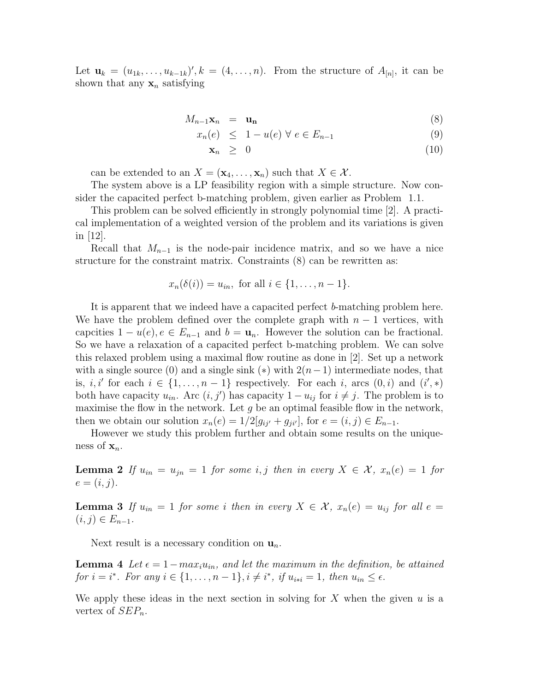Let  $\mathbf{u}_k = (u_{1k}, \dots, u_{k-1k})', k = (4, \dots, n)$ . From the structure of  $A_{[n]}$ , it can be shown that any  $x_n$  satisfying

$$
M_{n-1}\mathbf{x}_n = \mathbf{u}_n \tag{8}
$$

$$
x_n(e) \leq 1 - u(e) \forall e \in E_{n-1} \tag{9}
$$

$$
\mathbf{x}_n \geq 0 \tag{10}
$$

can be extended to an  $X = (\mathbf{x}_4, \dots, \mathbf{x}_n)$  such that  $X \in \mathcal{X}$ .

The system above is a LP feasibility region with a simple structure. Now consider the capacited perfect b-matching problem, given earlier as Problem 1.1.

This problem can be solved efficiently in strongly polynomial time [2]. A practical implementation of a weighted version of the problem and its variations is given in [12].

Recall that  $M_{n-1}$  is the node-pair incidence matrix, and so we have a nice structure for the constraint matrix. Constraints (8) can be rewritten as:

$$
x_n(\delta(i)) = u_{in}, \text{ for all } i \in \{1, \ldots, n-1\}.
$$

It is apparent that we indeed have a capacited perfect b-matching problem here. We have the problem defined over the complete graph with  $n-1$  vertices, with capcities  $1 - u(e)$ ,  $e \in E_{n-1}$  and  $b = \mathbf{u}_n$ . However the solution can be fractional. So we have a relaxation of a capacited perfect b-matching problem. We can solve this relaxed problem using a maximal flow routine as done in [2]. Set up a network with a single source (0) and a single sink (\*) with  $2(n-1)$  intermediate nodes, that is, *i*, *i'* for each  $i \in \{1, \ldots, n-1\}$  respectively. For each *i*, arcs  $(0, i)$  and  $(i', *)$ both have capacity  $u_{in}$ . Arc  $(i, j')$  has capacity  $1 - u_{ij}$  for  $i \neq j$ . The problem is to maximise the flow in the network. Let  $g$  be an optimal feasible flow in the network, then we obtain our solution  $x_n(e) = 1/2[g_{ij'} + g_{ji'}]$ , for  $e = (i, j) \in E_{n-1}$ .

However we study this problem further and obtain some results on the uniqueness of  $\mathbf{x}_n$ .

**Lemma 2** If  $u_{in} = u_{in} = 1$  for some i, j then in every  $X \in \mathcal{X}$ ,  $x_n(e) = 1$  for  $e=(i, j).$ 

**Lemma 3** If  $u_{in} = 1$  for some i then in every  $X \in \mathcal{X}$ ,  $x_n(e) = u_{ij}$  for all  $e =$  $(i, j) \in E_{n-1}.$ 

Next result is a necessary condition on  $\mathbf{u}_n$ .

**Lemma 4** Let  $\epsilon = 1 - \max_i u_{in}$ , and let the maximum in the definition, be attained for  $i = i^*$ . For any  $i \in \{1, \ldots, n-1\}$ ,  $i \neq i^*$ , if  $u_{i+i} = 1$ , then  $u_{in} \leq \epsilon$ .

We apply these ideas in the next section in solving for X when the given  $u$  is a vertex of  $SEP_n$ .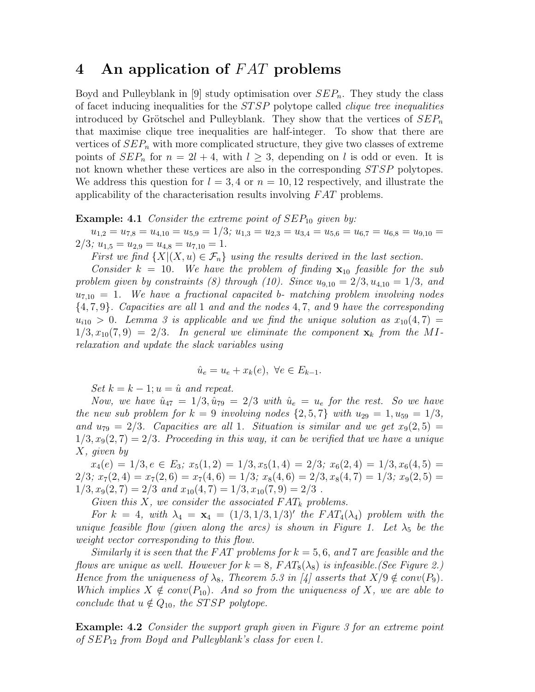### 4 An application of FAT problems

Boyd and Pulleyblank in [9] study optimisation over  $SEP_n$ . They study the class of facet inducing inequalities for the STSP polytope called clique tree inequalities introduced by Grötschel and Pulleyblank. They show that the vertices of  $SEP_n$ that maximise clique tree inequalities are half-integer. To show that there are vertices of  $SEP_n$  with more complicated structure, they give two classes of extreme points of  $SEP_n$  for  $n = 2l + 4$ , with  $l \geq 3$ , depending on l is odd or even. It is not known whether these vertices are also in the corresponding STSP polytopes. We address this question for  $l = 3, 4$  or  $n = 10, 12$  respectively, and illustrate the applicability of the characterisation results involving FAT problems.

#### **Example:** 4.1 Consider the extreme point of  $SEP_{10}$  given by:

 $u_{1,2} = u_{7,8} = u_{4,10} = u_{5,9} = 1/3; u_{1,3} = u_{2,3} = u_{3,4} = u_{5,6} = u_{6,7} = u_{6,8} = u_{9,10} = 0$  $2/3$ ;  $u_{1,5} = u_{2,9} = u_{4,8} = u_{7,10} = 1$ .

First we find  $\{X | (X, u) \in \mathcal{F}_n\}$  using the results derived in the last section.

Consider  $k = 10$ . We have the problem of finding  $\mathbf{x}_{10}$  feasible for the sub problem given by constraints (8) through (10). Since  $u_{9,10} = 2/3, u_{4,10} = 1/3,$  and  $u_{7,10} = 1$ . We have a fractional capacited b- matching problem involving nodes {4, 7, 9}. Capacities are all 1 and and the nodes 4, 7, and 9 have the corresponding  $u_{i10} > 0$ . Lemma 3 is applicable and we find the unique solution as  $x_{10}(4,7) =$  $1/3, x_{10}(7,9) = 2/3$ . In general we eliminate the component  $\mathbf{x}_k$  from the MIrelaxation and update the slack variables using

$$
\hat{u}_e = u_e + x_k(e), \ \forall e \in E_{k-1}.
$$

Set  $k = k - 1; u = \hat{u}$  and repeat.

Now, we have  $\hat{u}_{47} = 1/3, \hat{u}_{79} = 2/3$  with  $\hat{u}_e = u_e$  for the rest. So we have the new sub problem for  $k = 9$  involving nodes  $\{2, 5, 7\}$  with  $u_{29} = 1, u_{59} = 1/3$ , and  $u_{79} = 2/3$ . Capacities are all 1. Situation is similar and we get  $x_9(2,5) =$  $1/3, x<sub>9</sub>(2, 7) = 2/3$ . Proceeding in this way, it can be verified that we have a unique X, given by

 $x_4(e) = 1/3, e \in E_3$ ;  $x_5(1,2) = 1/3, x_5(1,4) = 2/3$ ;  $x_6(2,4) = 1/3, x_6(4,5) =$  $2/3$ ;  $x_7(2, 4) = x_7(2, 6) = x_7(4, 6) = 1/3$ ;  $x_8(4, 6) = 2/3$ ,  $x_8(4, 7) = 1/3$ ;  $x_9(2, 5) =$  $1/3, x_9(2, 7) = 2/3$  and  $x_{10}(4, 7) = 1/3, x_{10}(7, 9) = 2/3$ .

Given this X, we consider the associated  $FAT_k$  problems.

For  $k = 4$ , with  $\lambda_4 = \mathbf{x}_4 = (1/3, 1/3, 1/3)'$  the  $FAT_4(\lambda_4)$  problem with the unique feasible flow (given along the arcs) is shown in Figure 1. Let  $\lambda_5$  be the weight vector corresponding to this flow.

Similarly it is seen that the FAT problems for  $k = 5, 6,$  and 7 are feasible and the flows are unique as well. However for  $k = 8$ ,  $FAT_8(\lambda_8)$  is infeasible. (See Figure 2.) Hence from the uniqueness of  $\lambda_8$ , Theorem 5.3 in [4] asserts that  $X/9 \notin conv(P_9)$ . Which implies  $X \notin conv(P_{10})$ . And so from the uniqueness of X, we are able to conclude that  $u \notin Q_{10}$ , the STSP polytope.

Example: 4.2 Consider the support graph given in Figure 3 for an extreme point of  $SEP_{12}$  from Boyd and Pulleyblank's class for even l.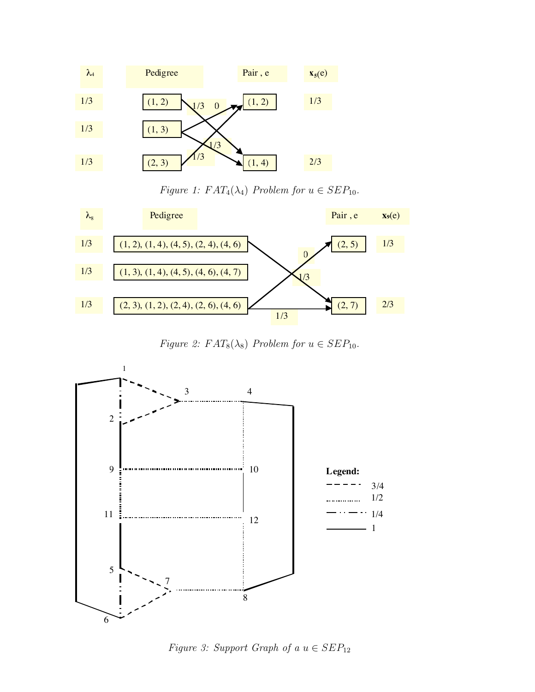

Figure 1:  $FAT_4(\lambda_4)$  Problem for  $u \in SEP_{10}$ .



Figure 2:  $FAT_8(\lambda_8)$  Problem for  $u \in SEP_{10}$ .



Figure 3: Support Graph of a  $u \in SEP_{12}$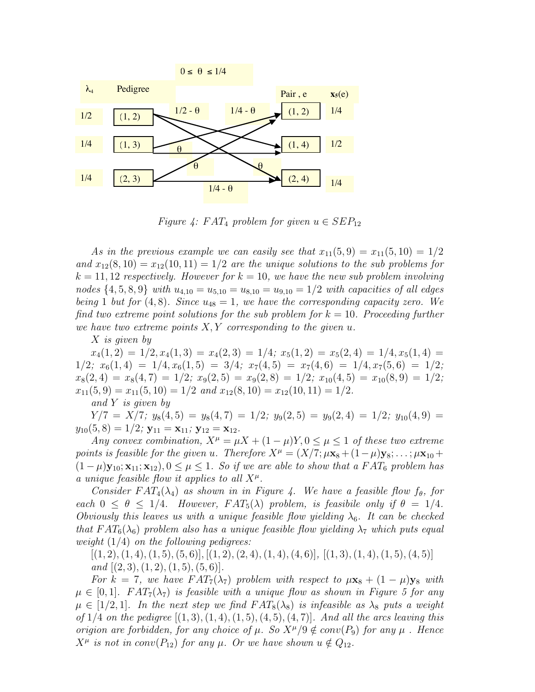![](_page_7_Figure_0.jpeg)

Figure 4: FAT<sub>4</sub> problem for given  $u \in SEP_{12}$ 

As in the previous example we can easily see that  $x_{11}(5, 9) = x_{11}(5, 10) = 1/2$ and  $x_{12}(8, 10) = x_{12}(10, 11) = 1/2$  are the unique solutions to the sub-problems for  $k = 11, 12$  respectively. However for  $k = 10$ , we have the new sub problem involving nodes  $\{4, 5, 8, 9\}$  with  $u_{4,10} = u_{5,10} = u_{8,10} = u_{9,10} = 1/2$  with capacities of all edges being 1 but for  $(4, 8)$ . Since  $u_{48} = 1$ , we have the corresponding capacity zero. We find two extreme point solutions for the sub-problem for  $k = 10$ . Proceeding further we have two extreme points  $X, Y$  corresponding to the given  $u$ .

X is given by

 $x_4(1,2) = 1/2, x_4(1,3) = x_4(2,3) = 1/4; x_5(1,2) = x_5(2,4) = 1/4, x_5(1,4) =$  $1/2$ ;  $x_6(1, 4) = 1/4$ ,  $x_6(1, 5) = 3/4$ ;  $x_7(4, 5) = x_7(4, 6) = 1/4$ ,  $x_7(5, 6) = 1/2$ ;  $x_8(2, 4) = x_8(4, 7) = 1/2$ ;  $x_9(2, 5) = x_9(2, 8) = 1/2$ ;  $x_{10}(4, 5) = x_{10}(8, 9) = 1/2$ ;  $x_{11}(5, 9) = x_{11}(5, 10) = 1/2$  and  $x_{12}(8, 10) = x_{12}(10, 11) = 1/2$ .

and Y is given by

 $Y/7 = X/7$ ;  $y_8(4, 5) = y_8(4, 7) = 1/2$ ;  $y_9(2, 5) = y_9(2, 4) = 1/2$ ;  $y_{10}(4, 9) =$  $y_{10}(5, 8) = 1/2$ ;  $y_{11} = x_{11}$ ;  $y_{12} = x_{12}$ .

Any convex combination,  $X^{\mu} = \mu X + (1 - \mu)Y, 0 \leq \mu \leq 1$  of these two extreme points is feasible for the given u. Therefore  $X^{\mu} = (X/7; \mu x_8 + (1-\mu)y_8; \ldots; \mu x_{10} +$  $(1 - \mu) \mathbf{y}_{10}; \mathbf{x}_{11}; \mathbf{x}_{12}$ ,  $0 \le \mu \le 1$ . So if we are able to show that a FAT<sub>6</sub> problem has a unique feasible flow it applies to all  $X^{\mu}$ .

Consider  $FAT_4(\lambda_4)$  as shown in in Figure 4. We have a feasible flow  $f_\theta$ , for each  $0 \le \theta \le 1/4$ . However,  $FAT_5(\lambda)$  problem, is feasibile only if  $\theta = 1/4$ . Obviously this leaves us with a unique feasible flow yielding  $\lambda_6$ . It can be checked that  $FAT_6(\lambda_6)$  problem also has a unique feasible flow yielding  $\lambda_7$  which puts equal weight  $(1/4)$  on the following pedigrees:

 $[(1, 2), (1, 4), (1, 5), (5, 6)], [(1, 2), (2, 4), (1, 4), (4, 6)], [(1, 3), (1, 4), (1, 5), (4, 5)]$ and  $[(2, 3), (1, 2), (1, 5), (5, 6)].$ 

For k = 7, we have  $FAT_7(\lambda_7)$  problem with respect to  $\mu$ **x**<sub>8</sub> +  $(1 - \mu)$ **y**<sub>8</sub> with  $\mu \in [0,1]$ .  $FAT_7(\lambda_7)$  is feasible with a unique flow as shown in Figure 5 for any  $\mu \in [1/2, 1]$ . In the next step we find  $FAT_8(\lambda_8)$  is infeasible as  $\lambda_8$  puts a weight of  $1/4$  on the pedigree  $[(1, 3), (1, 4), (1, 5), (4, 5), (4, 7)]$ . And all the arcs leaving this origion are forbidden, for any choice of  $\mu$ . So  $X^{\mu}/9 \notin conv(P_9)$  for any  $\mu$ . Hence  $X^{\mu}$  is not in conv $(P_{12})$  for any  $\mu$ . Or we have shown  $u \notin Q_{12}$ .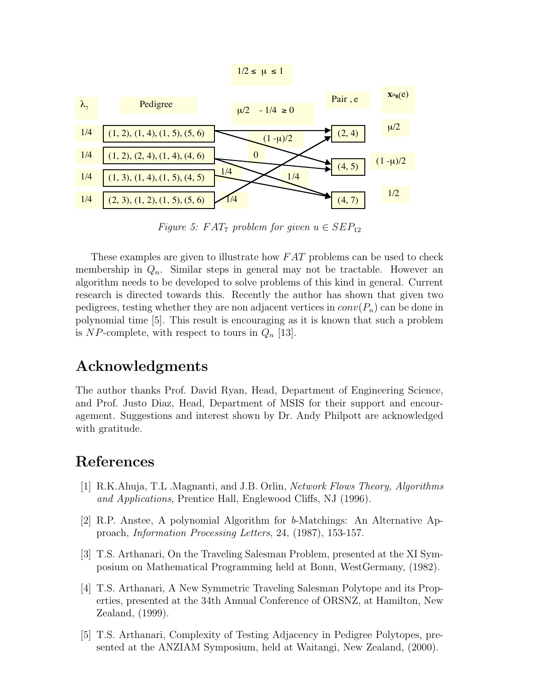![](_page_8_Figure_0.jpeg)

Figure 5:  $FAT_7$  problem for given  $u \in SEP_{12}$ 

These examples are given to illustrate how FAT problems can be used to check membership in  $Q_n$ . Similar steps in general may not be tractable. However an algorithm needs to be developed to solve problems of this kind in general. Current research is directed towards this. Recently the author has shown that given two pedigrees, testing whether they are non adjacent vertices in  $conv(P_n)$  can be done in polynomial time [5]. This result is encouraging as it is known that such a problem is NP-complete, with respect to tours in  $Q_n$  [13].

## Acknowledgments

The author thanks Prof. David Ryan, Head, Department of Engineering Science, and Prof. Justo Diaz, Head, Department of MSIS for their support and encouragement. Suggestions and interest shown by Dr. Andy Philpott are acknowledged with gratitude.

### References

- [1] R.K.Ahuja, T.L .Magnanti, and J.B. Orlin, Network Flows Theory, Algorithms and Applications, Prentice Hall, Englewood Cliffs, NJ (1996).
- [2] R.P. Anstee, A polynomial Algorithm for b-Matchings: An Alternative Approach, Information Processing Letters, 24, (1987), 153-157.
- [3] T.S. Arthanari, On the Traveling Salesman Problem, presented at the XI Symposium on Mathematical Programming held at Bonn, WestGermany, (1982).
- [4] T.S. Arthanari, A New Symmetric Traveling Salesman Polytope and its Properties, presented at the 34th Annual Conference of ORSNZ, at Hamilton, New Zealand, (1999).
- [5] T.S. Arthanari, Complexity of Testing Adjacency in Pedigree Polytopes, presented at the ANZIAM Symposium, held at Waitangi, New Zealand, (2000).